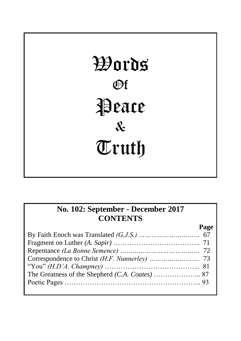# Words Of Peace & Truth

## **No. 102: September - December 2017 CONTENTS**

**Page**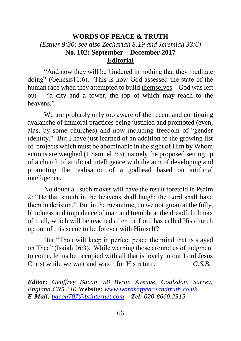## **WORDS OF PEACE & TRUTH** *(Esther 9:30; see also Zechariah 8:19 and Jeremiah 33:6)* **No. 102: September – December 2017 Editorial**

"And now they will be hindered in nothing that they meditate doing" (Genesis11:6). This is how God assessed the state of the human race when they attempted to build themselves – God was left out – "a city and a tower, the top of which may reach to the heavens<sup>"</sup>

We are probably only too aware of the recent and continuing avalanche of immoral practices being justified and promoted (even, alas, by some churches) and now including freedom of "gender identity." But I have just learned of an addition to the growing list of projects which must be abominable in the sight of Him by Whom actions are weighed (1 Samuel 2:3), namely the proposed setting up of a church of artificial intelligence with the aim of developing and promoting the realisation of a godhead based on artificial intelligence.

No doubt all such moves will have the result foretold in Psalm 2: "He that sitteth in the heavens shall laugh; the Lord shall have them in derision." But in the meantime, do we not groan at the folly, blindness and impudence of man and tremble at the dreadful climax of it all, which will be reached after the Lord has called His church up out of this scene to be forever with Himself?

But "Thou wilt keep in perfect peace the mind that is stayed on Thee" (Isaiah 26:3). While warning those around us of judgment to come, let us be occupied with all that is lovely in our Lord Jesus Christ while we wait and watch for His return. *G.S.B.*

*Editor: Geoffrey Bacon, 58 Byron Avenue, Coulsdon, Surrey, England.CR5 2JR Website: [www.wordsofpeaceandtruth.co.uk](http://www.wordsofpeaceandtruth.co.uk/) E-Mail: [bacon707@btinternet.com](mailto:bacon707@btinternet.com) Tel: 020-8660.2915*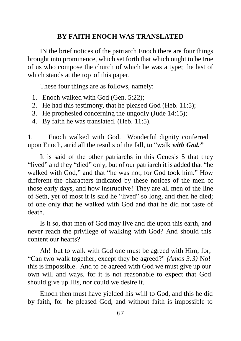## **BY FAITH ENOCH WAS TRANSLATED**

IN the brief notices of the patriarch Enoch there are four things brought into prominence, which set forth that which ought to be true of us who compose the church of which he was a type; the last of which stands at the top of this paper.

These four things are as follows, namely:

- 1. Enoch walked with God (Gen. 5:22);
- 2. He had this testimony, that he pleased God (Heb. 11:5);
- 3. He prophesied concerning the ungodly (Jude 14:15);
- 4. By faith he was translated. (Heb. 11:5).

1. Enoch walked with God. Wonderful dignity conferred upon Enoch, amid all the results of the fall, to "walk *with God."*

It is said of the other patriarchs in this Genesis 5 that they "lived" and they "died" only; but of our patriarch it is added that "he walked with God," and that "he was not, for God took him." How different the characters indicated by these notices of the men of those early days, and how instructive! They are all men of the line of Seth, yet of most it is said he "lived" so long, and then he died; of one only that he walked with God and that he did not taste of death.

Is it so, that men of God may live and die upon this earth, and never reach the privilege of walking with God? And should this content our hearts?

Ah! but to walk with God one must be agreed with Him; for, "Can two walk together, except they be agreed?" *(Amos 3:3)* No! this is impossible. And to be agreed with God we must give up our own will and ways, for it is not reasonable to expect that God should give up His, nor could we desire it.

Enoch then must have yielded his will to God, and this he did by faith, for he pleased God, and without faith is impossible to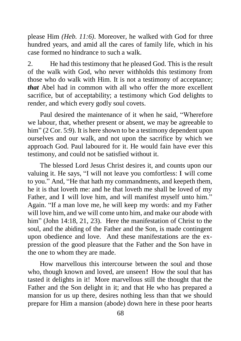please Him *(Heb. 11:6)*. Moreover, he walked with God for three hundred years, and amid all the cares of family life, which in his case formed no hindrance to such a walk.

2. He had this testimony that he pleased God. This is the result of the walk with God, who never withholds this testimony from those who do walk with Him. It is not a testimony of acceptance; *that* Abel had in common with all who offer the more excellent sacrifice, but of acceptability; a testimony which God delights to render, and which every godly soul covets.

Paul desired the maintenance of it when he said, "Wherefore we labour, that, whether present or absent, we may be agreeable to him" (2 Cor. 5:9). It is here shown to be a testimony dependent upon ourselves and our walk, and not upon the sacrifice by which we approach God. Paul laboured for it. He would fain have ever this testimony, and could not be satisfied without it.

The blessed Lord Jesus Christ desires it, and counts upon our valuing it. He says, "I will not leave you comfortless: I will come to you." And, "He that hath my commandments, and keepeth them, he it is that loveth me: and he that loveth me shall be loved of my Father, and I will love him, and will manifest myself unto him." Again. "If a man love me, he will keep my words: and my Father will love him, and we will come unto him, and make our abode with him" (John 14:18, 21, 23). Here the manifestation of Christ to the soul, and the abiding of the Father and the Son, is made contingent upon obedience and love. And these manifestations are the expression of the good pleasure that the Father and the Son have in the one to whom they are made.

How marvellous this intercourse between the soul and those who, though known and loved, are unseen! How the soul that has tasted it delights in it! More marvellous still the thought that the Father and the Son delight in it; and that He who has prepared a mansion for us up there, desires nothing less than that we should prepare for Him a mansion (abode) down here in these poor hearts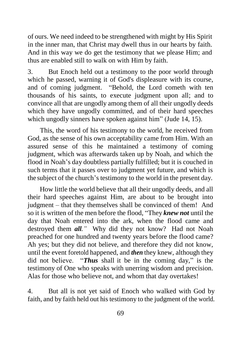of ours. We need indeed to be strengthened with might by His Spirit in the inner man, that Christ may dwell thus in our hearts by faith. And in this way we do get the testimony that we please Him; and thus are enabled still to walk on with Him by faith.

3. But Enoch held out a testimony to the poor world through which he passed, warning it of God's displeasure with its course, and of coming judgment. "Behold, the Lord cometh with ten thousands of his saints, to execute judgment upon all; and to convince all that are ungodly among them of all their ungodly deeds which they have ungodly committed, and of their hard speeches which ungodly sinners have spoken against him" (Jude 14, 15).

This, the word of his testimony to the world, he received from God, as the sense of his own acceptability came from Him. With an assured sense of this he maintained a testimony of coming judgment, which was afterwards taken up by Noah, and which the flood in Noah's day doubtless partially fulfilled; but it is couched in such terms that it passes over to judgment yet future, and which is the subject of the church's testimony to the world in the present day.

How little the world believe that all their ungodly deeds, and all their hard speeches against Him, are about to be brought into judgment – that they themselves shall be convinced of them! And so it is written of the men before the flood, "They *knew not* until the day that Noah entered into the ark, when the flood came and destroyed them *all."* Why did they not know? Had not Noah preached for one hundred and twenty years before the flood came? Ah yes; but they did not believe, and therefore they did not know, until the event foretold happened, and *then* they knew, although they did not believe. "*Thus* shall it be in the coming day," is the testimony of One who speaks with unerring wisdom and precision. Alas for those who believe not, and whom that day overtakes!

4. But all is not yet said of Enoch who walked with God by faith, and by faith held out his testimony to the judgment of the world.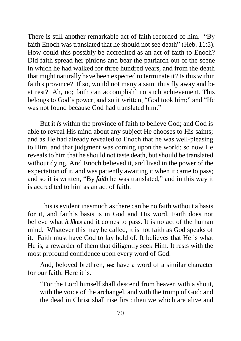There is still another remarkable act of faith recorded of him. "By faith Enoch was translated that he should not see death" (Heb. 11:5). How could this possibly be accredited as an act of faith to Enoch? Did faith spread her pinions and bear the patriarch out of the scene in which he had walked for three hundred years, and from the death that might naturally have been expected to terminate it? Is this within faith's province? If so, would not many a saint thus fly away and be at rest? Ah, no; faith can accomplish` no such achievement. This belongs to God's power, and so it written, "God took him;" and "He was not found because God had translated him."

But it *is* within the province of faith to believe God; and God is able to reveal His mind about any subject He chooses to His saints; and as He had already revealed to Enoch that he was well-pleasing to Him, and that judgment was coming upon the world; so now He reveals to him that he should not taste death, but should be translated without dying. And Enoch believed it, and lived in the power of the expectation of it, and was patiently awaiting it when it came to pass; and so it is written, "By *faith* he was translated," and in this way it is accredited to him as an act of faith.

This is evident inasmuch as there can be no faith without a basis for it, and faith's basis is in God and His word. Faith does not believe what *it likes* and it comes to pass. It is no act of the human mind. Whatever this may be called, it is not faith as God speaks of it. Faith must have God to lay hold of. It believes that He is what He is, a rewarder of them that diligently seek Him. It rests with the most profound confidence upon every word of God.

And, beloved brethren, *we* have a word of a similar character for our faith. Here it is.

"For the Lord himself shall descend from heaven with a shout, with the voice of the archangel, and with the trump of God: and the dead in Christ shall rise first: then we which are alive and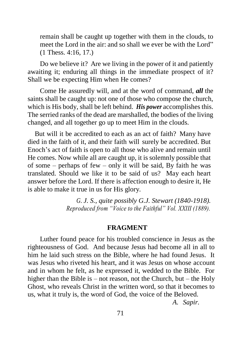remain shall be caught up together with them in the clouds, to meet the Lord in the air: and so shall we ever be with the Lord" (1 Thess. 4:16, 17.)

Do we believe it? Are we living in the power of it and patiently awaiting it; enduring all things in the immediate prospect of it? Shall we be expecting Him when He comes?

Come He assuredly will, and at the word of command, *all* the saints shall be caught up: not one of those who compose the church, which is His body, shall be left behind. *His power* accomplishes this. The serried ranks of the dead are marshalled, the bodies of the living changed, and all together go up to meet Him in the clouds.

But will it be accredited to each as an act of faith? Many have died in the faith of it, and their faith will surely be accredited. But Enoch's act of faith is open to all those who alive and remain until He comes. Now while all are caught up, it is solemnly possible that of some – perhaps of few – only it will be said, By faith he was translated. Should we like it to be said of us? May each heart answer before the Lord. If there is affection enough to desire it, He is able to make it true in us for His glory.

> *G. J. S., quite possibly G.J. Stewart (1840-1918). Reproduced from "Voice to the Faithful" Vol. XXIII (1889).*

#### **FRAGMENT**

Luther found peace for his troubled conscience in Jesus as the righteousness of God. And because Jesus had become all in all to him he laid such stress on the Bible, where he had found Jesus. It was Jesus who riveted his heart, and it was Jesus on whose account and in whom he felt, as he expressed it, wedded to the Bible. For higher than the Bible is – not reason, not the Church, but – the Holy Ghost, who reveals Christ in the written word, so that it becomes to us, what it truly is, the word of God, the voice of the Beloved.

*A. Sapir.*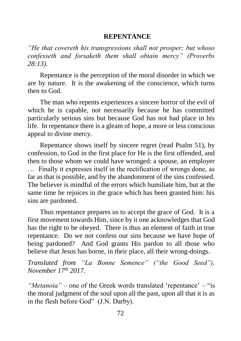#### **REPENTANCE**

*"He that covereth his transgressions shall not prosper; but whoso confesseth and forsaketh them shall obtain mercy" (Proverbs 28:13).*

Repentance is the perception of the moral disorder in which we are by nature. It is the awakening of the conscience, which turns then to God.

The man who repents experiences a sincere horror of the evil of which he is capable, not necessarily because he has committed particularly serious sins but because God has not had place in his life. In repentance there is a gleam of hope, a more or less conscious appeal to divine mercy.

Repentance shows itself by sincere regret (read Psalm 51), by confession, to God in the first place for He is the first offended, and then to those whom we could have wronged: a spouse, an employer

… Finally it expresses itself in the rectification of wrongs done, as far as that is possible, and by the abandonment of the sins confessed. The believer is mindful of the errors which humiliate him, but at the same time he rejoices in the grace which has been granted him: his sins are pardoned.

Thus repentance prepares us to accept the grace of God. It is a first movement towards Him, since by it one acknowledges that God has the right to be obeyed. There is thus an element of faith in true repentance. Do we not confess our sins because we have hope of being pardoned? And God grants His pardon to all those who believe that Jesus has borne, in their place, all their wrong-doings.

*Translated from "La Bonne Semence" ("the Good Seed"), November 17th 2017.*

*"Metanoia"* – one of the Greek words translated 'repentance' – "is the moral judgment of the soul upon all the past, upon all that it is as in the flesh before God" (J.N. Darby).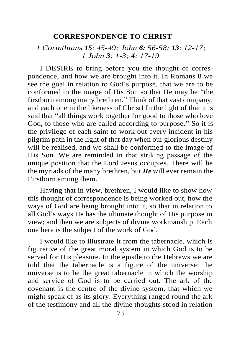#### **CORRESPONDENCE TO CHRIST**

## *1 Corinthians 15: 45-49; John 6: 56-58; 13: 12-17; 1 John 3: 1-3; 4: 17-19*

I DESIRE to bring before you the thought of correspondence, and how we are brought into it. In Romans 8 we see the goal in relation to God's purpose, that we are to be conformed to the image of His Son so that He may be "the firstborn among many brethren." Think of that vast company, and each one in the likeness of Christ! In the light of that it is said that "all things work together for good to those who love God, to those who are called according to purpose." So it is the privilege of each saint to work out every incident in his pilgrim path in the light of that day when our glorious destiny will be realised, and we shall be conformed to the image of His Son. We are reminded in that striking passage of the unique position that the Lord Jesus occupies. There will be the myriads of the many brethren, but *He* will ever remain the Firstborn among them.

Having that in view, brethren, I would like to show how this thought of correspondence is being worked out, how the ways of God are being brought into it, so that in relation to all God's ways He has the ultimate thought of His purpose in view; and then we are subjects of divine workmanship. Each one here is the subject of the work of God.

I would like to illustrate it from the tabernacle, which is figurative of the great moral system in which God is to be served for His pleasure. In the epistle to the Hebrews we are told that the tabernacle is a figure of the universe; the universe is to be the great tabernacle in which the worship and service of God is to be carried out. The ark of the covenant is the centre of the divine system, that which we might speak of as its glory. Everything ranged round the ark of the testimony and all the divine thoughts stood in relation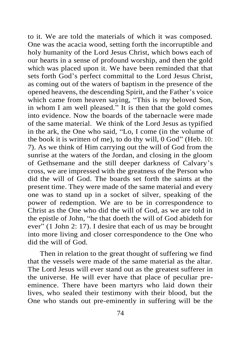to it. We are told the materials of which it was composed. One was the acacia wood, setting forth the incorruptible and holy humanity of the Lord Jesus Christ, which bows each of our hearts in a sense of profound worship, and then the gold which was placed upon it. We have been reminded that that sets forth God's perfect committal to the Lord Jesus Christ, as coming out of the waters of baptism in the presence of the opened heavens, the descending Spirit, and the Father's voice which came from heaven saying, "This is my beloved Son, in whom I am well pleased." It is then that the gold comes into evidence. Now the boards of the tabernacle were made of the same material. We think of the Lord Jesus as typified in the ark, the One who said, "Lo, I come (in the volume of the book it is written of me), to do thy will, 0 God" (Heb. 10: 7). As we think of Him carrying out the will of God from the sunrise at the waters of the Jordan, and closing in the gloom of Gethsemane and the still deeper darkness of Calvary's cross, we are impressed with the greatness of the Person who did the will of God. The boards set forth the saints at the present time. They were made of the same material and every one was to stand up in a socket of silver, speaking of the power of redemption. We are to be in correspondence to Christ as the One who did the will of God, as we are told in the epistle of John, "he that doeth the will of God abideth for ever" (1 John 2: 17). I desire that each of us may be brought into more living and closer correspondence to the One who did the will of God.

Then in relation to the great thought of suffering we find that the vessels were made of the same material as the altar. The Lord Jesus will ever stand out as the greatest sufferer in the universe. He will ever have that place of peculiar preeminence. There have been martyrs who laid down their lives, who sealed their testimony with their blood, but the One who stands out pre-eminently in suffering will be the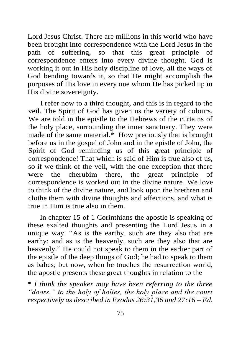Lord Jesus Christ. There are millions in this world who have been brought into correspondence with the Lord Jesus in the path of suffering, so that this great principle of correspondence enters into every divine thought. God is working it out in His holy discipline of love, all the ways of God bending towards it, so that He might accomplish the purposes of His love in every one whom He has picked up in His divine sovereignty.

I refer now to a third thought, and this is in regard to the veil. The Spirit of God has given us the variety of colours. We are told in the epistle to the Hebrews of the curtains of the holy place, surrounding the inner sanctuary. They were made of the same material.\* How preciously that is brought before us in the gospel of John and in the epistle of John, the Spirit of God reminding us of this great principle of correspondence! That which is said of Him is true also of us, so if we think of the veil, with the one exception that there were the cherubim there, the great principle of correspondence is worked out in the divine nature. We love to think of the divine nature, and look upon the brethren and clothe them with divine thoughts and affections, and what is true in Him is true also in them.

In chapter 15 of 1 Corinthians the apostle is speaking of these exalted thoughts and presenting the Lord Jesus in a unique way. "As is the earthy, such are they also that are earthy; and as is the heavenly, such are they also that are heavenly." He could not speak to them in the earlier part of the epistle of the deep things of God; he had to speak to them as babes; but now, when he touches the resurrection world, the apostle presents these great thoughts in relation to the

\* *I think the speaker may have been referring to the three "doors," to the holy of holies, the holy place and the court respectively as described in Exodus 26:31,36 and 27:16 – Ed.*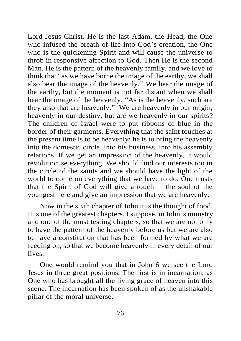Lord Jesus Christ. He is the last Adam, the Head, the One who infused the breath of life into God's creation, the One who is the quickening Spirit and will cause the universe to throb in responsive affection to God. Then He is the second Man. He is the pattern of the heavenly family, and we love to think that "as we have borne the image of the earthy, we shall also bear the image of the heavenly." We bear the image of the earthy, but the moment is not far distant when we shall bear the image of the heavenly. "As is the heavenly, such are they also that are heavenly." We are heavenly in our origin, heavenly in our destiny, but are we heavenly in our spirits? The children of Israel were to put ribbons of blue in the border of their garments. Everything that the saint touches at the present time is to be heavenly; he is to bring the heavenly into the domestic circle, into his business, into his assembly relations. If we get an impression of the heavenly, it would revolutionise everything. We should find our interests too in the circle of the saints and we should have the light of the world to come on everything that we have to do. One trusts that the Spirit of God will give a touch in the soul of the youngest here and give an impression that we are heavenly.

Now in the sixth chapter of John it is the thought of food. It is one of the greatest chapters, I suppose, in John's ministry and one of the most testing chapters, so that we are not only to have the pattern of the heavenly before us but we are also to have a constitution that has been formed by what we are feeding on, so that we become heavenly in every detail of our lives.

One would remind you that in John 6 we see the Lord Jesus in three great positions. The first is in incarnation, as One who has brought all the living grace of heaven into this scene. The incarnation has been spoken of as the unshakable pillar of the moral universe.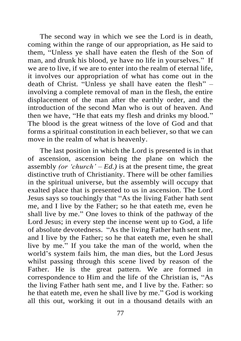The second way in which we see the Lord is in death, coming within the range of our appropriation, as He said to them, "Unless ye shall have eaten the flesh of the Son of man, and drunk his blood, ye have no life in yourselves." If we are to live, if we are to enter into the realm of eternal life, it involves our appropriation of what has come out in the death of Christ. "Unless ye shall have eaten the flesh" – involving a complete removal of man in the flesh, the entire displacement of the man after the earthly order, and the introduction of the second Man who is out of heaven. And then we have, "He that eats my flesh and drinks my blood." The blood is the great witness of the love of God and that forms a spiritual constitution in each believer, so that we can move in the realm of what is heavenly.

The last position in which the Lord is presented is in that of ascension, ascension being the plane on which the assembly *(or 'church' – Ed.)* is at the present time, the great distinctive truth of Christianity. There will be other families in the spiritual universe, but the assembly will occupy that exalted place that is presented to us in ascension. The Lord Jesus says so touchingly that "As the living Father hath sent me, and I live by the Father; so he that eateth me, even he shall live by me." One loves to think of the pathway of the Lord Jesus; in every step the incense went up to God, a life of absolute devotedness. "As the living Father hath sent me, and I live by the Father; so he that eateth me, even he shall live by me." If you take the man of the world, when the world's system fails him, the man dies, but the Lord Jesus whilst passing through this scene lived by reason of the Father. He is the great pattern. We are formed in correspondence to Him and the life of the Christian is, "As the living Father hath sent me, and I live by the. Father: so he that eateth me, even he shall live by me." God is working all this out, working it out in a thousand details with an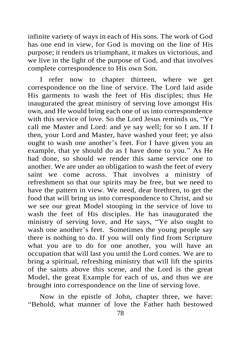infinite variety of ways in each of His sons. The work of God has one end in view, for God is moving on the line of His purpose; it renders us triumphant, it makes us victorious, and we live in the light of the purpose of God, and that involves complete correspondence to His own Son.

I refer now to chapter thirteen, where we get correspondence on the line of service. The Lord laid aside His garments to wash the feet of His disciples; thus He inaugurated the great ministry of serving love amongst His own, and He would bring each one of us into correspondence with this service of love. So the Lord Jesus reminds us, "Ye call me Master and Lord: and ye say well; for so I am. If I then, your Lord and Master, have washed your feet; ye also ought to wash one another's feet. For I have given you an example, that ye should do as I have done to you." As He had done, so should we render this same service one to another. We are under an obligation to wash the feet of every saint we come across. That involves a ministry of refreshment so that our spirits may be free, but we need to have the pattern in view. We need, dear brethren, to get the food that will bring us into correspondence to Christ, and so we see our great Model stooping in the service of love to wash the feet of His disciples. He has inaugurated the ministry of serving love, and He says, "Ye also ought to wash one another's feet. Sometimes the young people say there is nothing to do. If you will only find from Scripture what you are to do for one another, you will have an occupation that will last you until the Lord comes. We are to bring a spiritual, refreshing ministry that will lift the spirits of the saints above this scene, and the Lord is the great Model, the great Example for each of us, and thus we are brought into correspondence on the line of serving love.

Now in the epistle of John, chapter three, we have: "Behold, what manner of love the Father hath bestowed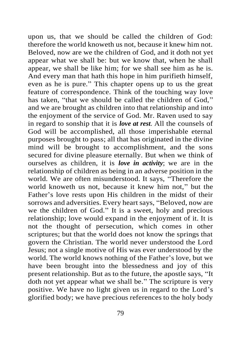upon us, that we should be called the children of God: therefore the world knoweth us not, because it knew him not. Beloved, now are we the children of God, and it doth not yet appear what we shall be: but we know that, when he shall appear, we shall be like him; for we shall see him as he is. And every man that hath this hope in him purifieth himself, even as he is pure." This chapter opens up to us the great feature of correspondence. Think of the touching way love has taken, "that we should be called the children of God," and we are brought as children into that relationship and into the enjoyment of the service of God. Mr. Raven used to say in regard to sonship that it is *love at rest.* All the counsels of God will be accomplished, all those imperishable eternal purposes brought to pass; all that has originated in the divine mind will be brought to accomplishment, and the sons secured for divine pleasure eternally. But when we think of ourselves as children, it is *love in activity*; we are in the relationship of children as being in an adverse position in the world. We are often misunderstood. It says, "Therefore the world knoweth us not, because it knew him not," but the Father's love rests upon His children in the midst of their sorrows and adversities. Every heart says, "Beloved, now are we the children of God." It is a sweet, holy and precious relationship; love would expand in the enjoyment of it. It is not the thought of persecution, which comes in other scriptures; but that the world does not know the springs that govern the Christian. The world never understood the Lord Jesus; not a single motive of His was ever understood by the world. The world knows nothing of the Father's love, but we have been brought into the blessedness and joy of this present relationship. But as to the future, the apostle says, "It doth not yet appear what we shall be." The scripture is very positive. We have no light given us in regard to the Lord's glorified body; we have precious references to the holy body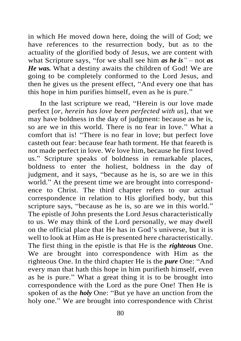in which He moved down here, doing the will of God; we have references to the resurrection body, but as to the actuality of the glorified body of Jesus, we are content with what Scripture says, "for we shall see him *as he is"* – not *as He was.* What a destiny awaits the children of God! We are going to be completely conformed to the Lord Jesus, and then he gives us the present effect, "And every one that has this hope in him purifies himself, even as he is pure."

In the last scripture we read, "Herein is our love made perfect [*or*, *herein has love been perfected with us*], that we may have boldness in the day of judgment: because as he is, so are we in this world. There is no fear in love." What a comfort that is! "There is no fear in love; but perfect love casteth out fear: because fear hath torment. He that feareth is not made perfect in love. We love him, because he first loved us." Scripture speaks of boldness in remarkable places, boldness to enter the holiest, boldness in the day of judgment, and it says, "because as he is, so are we in this world." At the present time we are brought into correspondence to Christ. The third chapter refers to our actual correspondence in relation to His glorified body, but this scripture says, "because as he is, so are we in this world." The epistle of John presents the Lord Jesus characteristically to us. We may think of the Lord personally, we may dwell on the official place that He has in God's universe, but it is well to look at Him as He is presented here characteristically. The first thing in the epistle is that He is the *righteous* One. We are brought into correspondence with Him as the righteous One. In the third chapter He is the *pure* One: "And every man that hath this hope in him purifieth himself, even as he is pure." What a great thing it is to be brought into correspondence with the Lord as the pure One! Then He is spoken of as the *holy* One: "But ye have an unction from the holy one." We are brought into correspondence with Christ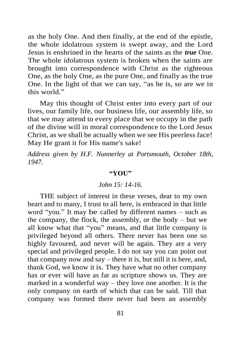as the holy One. And then finally, at the end of the epistle, the whole idolatrous system is swept away, and the Lord Jesus is enshrined in the hearts of the saints as the *true* One. The whole idolatrous system is broken when the saints are brought into correspondence with Christ as the righteous One, as the holy One, as the pure One, and finally as the true One. In the light of that we can say, "as he is, so are we in this world."

May this thought of Christ enter into every part of our lives, our family life, our business life, our assembly life, so that we may attend to every place that we occupy in the path of the divine will in moral correspondence to the Lord Jesus Christ, as we shall be actually when we see His peerless face! May He grant it for His name's sake!

*Address given by H.F. Nunnerley at Portsmouth, October 18th, 1947.*

#### **"YOU"**

#### *John 15: 14-16.*

THE subject of interest in these verses, dear to my own heart and to many, I trust to all here, is embraced in that little word "you." It may be called by different names – such as the company, the flock, the assembly, or the body – but we all know what that "you" means, and that little company is privileged beyond all others. There never has been one so highly favoured, and never will be again. They are a very special and privileged people. I do not say you can point out that company now and say – there it is, but still it is here, and, thank God, we know it is. They have what no other company has or ever will have as far as scripture shows us. They are marked in a wonderful way – they love one another. It is the only company on earth of which that can be said. Till that company was formed there never had been an assembly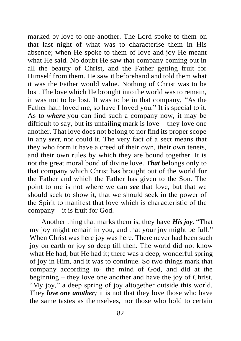marked by love to one another. The Lord spoke to them on that last night of what was to characterise them in His absence; when He spoke to them of love and joy He meant what He said. No doubt He saw that company coming out in all the beauty of Christ, and the Father getting fruit for Himself from them. He saw it beforehand and told them what it was the Father would value. Nothing of Christ was to be lost. The love which He brought into the world was to remain, it was not to be lost. It was to be in that company, "As the Father hath loved me, so have I loved you." It is special to it. As to *where* you can find such a company now, it may be difficult to say, but its unfailing mark is love – they love one another. That love does not belong to nor find its proper scope in any *sect,* nor could it. The very fact of a sect means that they who form it have a creed of their own, their own tenets, and their own rules by which they are bound together. It is not the great moral bond of divine love. *That* belongs only to that company which Christ has brought out of the world for the Father and which the Father has given to the Son. The point to me is not where we can *see* that love, but that we should seek to show it, that we should seek in the power of the Spirit to manifest that love which is characteristic of the company – it is fruit for God.

Another thing that marks them is, they have *His joy.* "That my joy might remain in you, and that your joy might be full." When Christ was here joy was here. There never had been such joy on earth or joy so deep till then. The world did not know what He had, but He had it; there was a deep, wonderful spring of joy in Him, and it was to continue. So two things mark that company according to· the mind of God, and did at the beginning – they love one another and have the joy of Christ. "My joy," a deep spring of joy altogether outside this world. They *love one another;* it is not that they love those who have the same tastes as themselves, nor those who hold to certain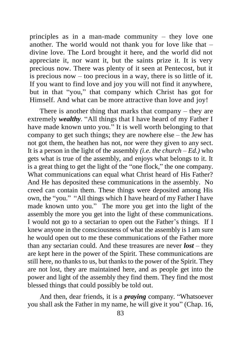principles as in a man-made community – they love one another. The world would not thank you for love like that – divine love. The Lord brought it here, and the world did not appreciate it, nor want it, but the saints prize it. It is very precious now. There was plenty of it seen at Pentecost, but it is precious now – too precious in a way, there is so little of it. If you want to find love and joy you will not find it anywhere, but in that "you," that company which Christ has got for Himself. And what can be more attractive than love and joy!

There is another thing that marks that company – they are extremely *wealthy.* "All things that I have heard of my Father I have made known unto you." It is well worth belonging to that company to get such things; they are nowhere else – the Jew has not got them, the heathen has not, nor were they given to any sect. It is a person in the light of the assembly *(i.e. the church – Ed.)* who gets what is true of the assembly, and enjoys what belongs to it. It is a great thing to get the light of the "one flock," the one company. What communications can equal what Christ heard of His Father? And He has deposited these communications in the assembly. No creed can contain them. These things were deposited among His own, the "you." "All things which I have heard of my Father I have made known unto you." The more you get into the light of the assembly the more you get into the light of these communications. I would not go to a sectarian to open out the Father's things. If I knew anyone in the consciousness of what the assembly is I am sure he would open out to me these communications of the Father more than any sectarian could. And these treasures are never *lost –* they are kept here in the power of the Spirit. These communications are still here, no thanks to us, but thanks to the power of the Spirit. They are not lost, they are maintained here, and as people get into the power and light of the assembly they find them. They find the most blessed things that could possibly be told out.

And then, dear friends, it is a *praying* company. "Whatsoever you shall ask the Father in my name, he will give it you" (Chap. 16,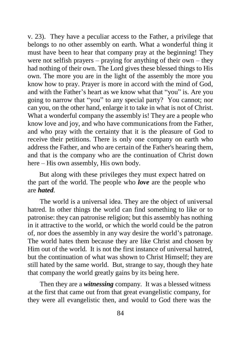v. 23). They have a peculiar access to the Father, a privilege that belongs to no other assembly on earth. What a wonderful thing it must have been to hear that company pray at the beginning! They were not selfish prayers – praying for anything of their own – they had nothing of their own. The Lord gives these blessed things to His own. The more you are in the light of the assembly the more you know how to pray. Prayer is more in accord with the mind of God, and with the Father's heart as we know what that "you" is. Are you going to narrow that "you" to any special party? You cannot; nor can you, on the other hand, enlarge it to take in what is not of Christ. What a wonderful company the assembly is! They are a people who know love and joy, and who have communications from the Father, and who pray with the certainty that it is the pleasure of God to receive their petitions. There is only one company on earth who address the Father, and who are certain of the Father's hearing them, and that is the company who are the continuation of Christ down here – His own assembly, His own body.

But along with these privileges they must expect hatred on the part of the world. The people who *love* are the people who are *hated.* 

The world is a universal idea. They are the object of universal hatred. In other things the world can find something to like or to patronise: they can patronise religion; but this assembly has nothing in it attractive to the world, or which the world could be the patron of, nor does the assembly in any way desire the world's patronage. The world hates them because they are like Christ and chosen by Him out of the world*.* It is not the first instance of universal hatred, but the continuation of what was shown to Christ Himself; they are still hated by the same world. But, strange to say, though they hate that company the world greatly gains by its being here.

Then they are a *witnessing* company. It was a blessed witness at the first that came out from that great evangelistic company, for they were all evangelistic then, and would to God there was the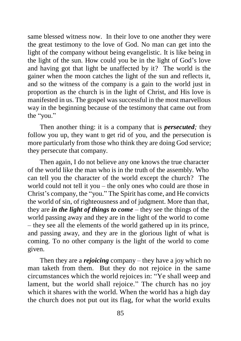same blessed witness now. In their love to one another they were the great testimony to the love of God. No man can get into the light of the company without being evangelistic. It is like being in the light of the sun. How could you be in the light of God's love and having got that light be unaffected by it? The world is the gainer when the moon catches the light of the sun and reflects it, and so the witness of the company is a gain to the world just in proportion as the church is in the light of Christ, and His love is manifested in us. The gospel was successful in the most marvellous way in the beginning because of the testimony that came out from the "you."

Then another thing: it is a company that is *persecuted;* they follow you up, they want to get rid of you, and the persecution is more particularly from those who think they are doing God service; they persecute that company.

Then again, I do not believe any one knows the true character of the world like the man who is in the truth of the assembly. Who can tell you the character of the world except the church? The world could not tell it you – the only ones who could are those in Christ's company, the "you." The Spirit has come, and He convicts the world of sin, of righteousness and of judgment. More than that, they are *in the light of things to come* – they see the things of the world passing away and they are in the light of the world to come – they see all the elements of the world gathered up in its prince, and passing away, and they are in the glorious light of what is coming. To no other company is the light of the world to come given.

Then they are a *rejoicing* company – they have a joy which no man taketh from them. But they do not rejoice in the same circumstances which the world rejoices in: "Ye shall weep and lament, but the world shall rejoice." The church has no joy which it shares with the world. When the world has a high day the church does not put out its flag, for what the world exults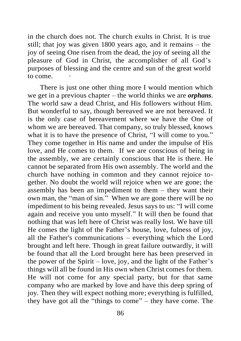in the church does not. The church exults in Christ. It is true still; that joy was given 1800 years ago, and it remains – the joy of seeing One risen from the dead, the joy of seeing all the pleasure of God in Christ, the accomplisher of all God's purposes of blessing and the centre and sun of the great world to come.

There is just one other thing more I would mention which we get in a previous chapter – the world thinks we are *orphans.*  The world saw a dead Christ, and His followers without Him. But wonderful to say, though bereaved we are not bereaved. It is the only case of bereavement where we have the One of whom we are bereaved. That company, so truly blessed, knows what it is to have the presence of Christ, "I will come to you." They come together in His name and under the impulse of His love, and He comes to them. If we are conscious of being in the assembly, we are certainly conscious that He is there. He cannot be separated from His own assembly. The world and the church have nothing in common and they cannot rejoice together. No doubt the world will rejoice when we are gone; the assembly has been an impediment to them – they want their own man, the "man of sin." When we are gone there will be no impediment to his being revealed. Jesus says to us: "I will come again and receive you unto myself." It will then be found that nothing that was left here of Christ was really lost. We have till He comes the light of the Father's house, love, fulness of joy, all the Father's communications – everything which the Lord brought and left here. Though in great failure outwardly, it will be found that all the Lord brought here has been preserved in the power of the Spirit – love, joy, and the light of the Father's things will all be found in His own when Christ comes for them. He will not come for any special party, but for that same company who are marked by love and have this deep spring of joy. Then they will expect nothing more; everything is fulfilled, they have got all the "things to come" – they have come. The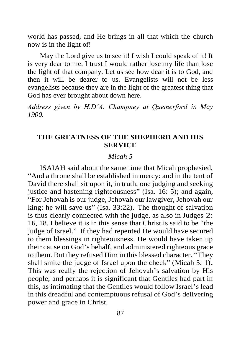world has passed, and He brings in all that which the church now is in the light of!

May the Lord give us to see it! I wish I could speak of it! It is very dear to me. I trust I would rather lose my life than lose the light of that company. Let us see how dear it is to God, and then it will be dearer to us. Evangelists will not be less evangelists because they are in the light of the greatest thing that God has ever brought about down here.

*Address given by H.D'A. Champney at Quemerford in May 1900.*

## **THE GREATNESS OF THE SHEPHERD AND HIS SERVICE**

#### *Micah 5*

ISAIAH said about the same time that Micah prophesied, "And a throne shall be established in mercy: and in the tent of David there shall sit upon it, in truth, one judging and seeking justice and hastening righteousness" (Isa. 16: 5); and again, "For Jehovah is our judge, Jehovah our lawgiver, Jehovah our king: he will save us" (Isa. 33:22). The thought of salvation is thus clearly connected with the judge, as also in Judges 2: 16, 18. I believe it is in this sense that Christ is said to be "the judge of Israel." If they had repented He would have secured to them blessings in righteousness. He would have taken up their cause on God's behalf, and administered righteous grace to them. But they refused Him in this blessed character. "They shall smite the judge of Israel upon the cheek" (Micah 5: 1). This was really the rejection of Jehovah's salvation by His people; and perhaps it is significant that Gentiles had part in this, as intimating that the Gentiles would follow Israel's lead in this dreadful and contemptuous refusal of God's delivering power and grace in Christ.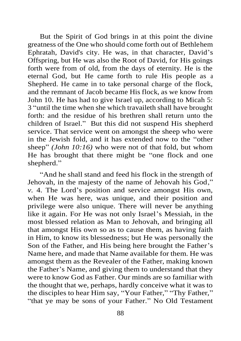But the Spirit of God brings in at this point the divine greatness of the One who should come forth out of Bethlehem Ephratah, David's city. He was, in that character, David's Offspring, but He was also the Root of David, for His goings forth were from of old, from the days of eternity. He is the eternal God, but He came forth to rule His people as a Shepherd. He came in to take personal charge of the flock, and the remnant of Jacob became His flock, as we know from John 10. He has had to give Israel up, according to Micah 5: 3 "until the time when she which travaileth shall have brought forth: and the residue of his brethren shall return unto the children of Israel." But this did not suspend His shepherd service. That service went on amongst the sheep who were in the Jewish fold, and it has extended now to the "other sheep" *(John 10:16)* who were not of that fold, but whom He has brought that there might be "one flock and one shepherd."

"And he shall stand and feed his flock in the strength of Jehovah, in the majesty of the name of Jehovah his God," *v.* 4. The Lord's position and service amongst His own, when He was here, was unique, and their position and privilege were also unique. There will never be anything like it again. For He was not only Israel's Messiah, in the most blessed relation as Man to Jehovah, and bringing all that amongst His own so as to cause them, as having faith in Him, to know its blessedness; but He was personally the Son of the Father, and His being here brought the Father's Name here, and made that Name available for them. He was amongst them as the Revealer of the Father, making known the Father's Name, and giving them to understand that they were to know God as Father. Our minds are so familiar with the thought that we, perhaps, hardly conceive what it was to the disciples to hear Him say, "Your Father," "Thy Father," "that ye may be sons of your Father." No Old Testament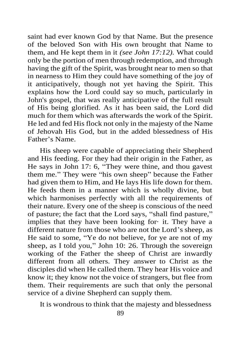saint had ever known God by that Name. But the presence of the beloved Son with His own brought that Name to them, and He kept them in it *(see John 17:12).* What could only be the portion of men through redemption, and through having the gift of the Spirit, was brought near to men so that in nearness to Him they could have something of the joy of it anticipatively, though not yet having the Spirit. This explains how the Lord could say so much, particularly in John's gospel, that was really anticipative of the full result of His being glorified. As it has been said, the Lord did much for them which was afterwards the work of the Spirit. He led and fed His flock not only in the majesty of the Name of Jehovah His God, but in the added blessedness of His Father's Name.

His sheep were capable of appreciating their Shepherd and His feeding. For they had their origin in the Father, as He says in John 17: 6, "They were thine, and thou gavest them me." They were "his own sheep" because the Father had given them to Him, and He lays His life down for them. He feeds them in a manner which is wholly divine, but which harmonises perfectly with all the requirements of their nature. Every one of the sheep is conscious of the need of pasture; the fact that the Lord says, "shall find pasture," implies that they have been looking for· it. They have a different nature from those who are not the Lord's sheep, as He said to some, "Ye do not believe, for ye are not of my sheep, as I told you," John 10: 26. Through the sovereign working of the Father the sheep of Christ are inwardly different from all others. They answer to Christ as the disciples did when He called them. They hear His voice and know it; they know not the voice of strangers, but flee from them. Their requirements are such that only the personal service of a divine Shepherd can supply them.

It is wondrous to think that the majesty and blessedness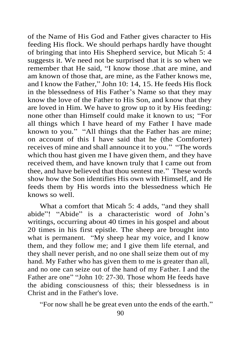of the Name of His God and Father gives character to His feeding His flock. We should perhaps hardly have thought of bringing that into His Shepherd service, but Micah 5: 4 suggests it. We need not be surprised that it is so when we remember that He said, "I know those .that are mine, and am known of those that, are mine, as the Father knows me, and I know the Father," John 10: 14, 15. He feeds His flock in the blessedness of His Father's Name so that they may know the love of the Father to His Son, and know that they are loved in Him. We have to grow up to it by His feeding: none other than Himself could make it known to us; "For all things which I have heard of my Father I have made known to you." "All things that the Father has are mine; on account of this I have said that he (the Comforter) receives of mine and shall announce it to you." "The words which thou hast given me I have given them, and they have received them, and have known truly that I came out from thee, and have believed that thou sentest me." These words show how the Son identifies His own with Himself, and He feeds them by His words into the blessedness which He knows so well.

What a comfort that Micah 5: 4 adds, "and they shall abide"! "Abide" is a characteristic word of John's writings, occurring about 40 times in his gospel and about 20 times in his first epistle. The sheep are brought into what is permanent. "My sheep hear my voice, and I know them, and they follow me; and I give them life eternal, and they shall never perish, and no one shall seize them out of my hand. My Father who has given them to me is greater than all, and no one can seize out of the hand of my Father. I and the Father are one" "John 10: 27-30. Those whom He feeds have the abiding consciousness of this; their blessedness is in Christ and in the Father's love.

"For now shall he be great even unto the ends of the earth."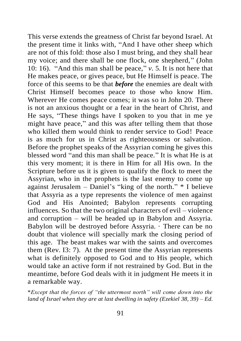This verse extends the greatness of Christ far beyond Israel. At the present time it links with, "And I have other sheep which are not of this fold: those also I must bring, and they shall hear my voice; and there shall be one flock, one shepherd," (John 10: 16). "And this man shall be peace," *v.* 5. It is not here that He makes peace, or gives peace, but He Himself is peace. The force of this seems to be that *before* the enemies are dealt with Christ Himself becomes peace to those who know Him. Wherever He comes peace comes; it was so in John 20. There is not an anxious thought or a fear in the heart of Christ, and He says, "These things have I spoken to you that in me ye might have peace," and this was after telling them that those who killed them would think to render service to God! Peace is as much for us in Christ as righteousness or salvation. Before the prophet speaks of the Assyrian coming he gives this blessed word "and this man shall be peace." It is what He is at this very moment; it is there in Him for all His own. In the Scripture before us it is given to qualify the flock to meet the Assyrian, who in the prophets is the last enemy to come up against Jerusalem – Daniel's "king of the north." \* I believe that Assyria as a type represents the violence of men against God and His Anointed; Babylon represents corrupting influences. So that the two original characters of evil – violence and corruption – will be headed up in Babylon and Assyria. Babylon will be destroyed before Assyria. · There can be no doubt that violence will specially mark the closing period of this age. The beast makes war with the saints and overcomes them (Rev. I3: 7). At the present time the Assyrian represents what is definitely opposed to God and to His people, which would take an active form if not restrained by God. But in the meantime, before God deals with it in judgment He meets it in a remarkable way.

\**Except that the forces of "the uttermost north" will come down into the land of Israel when they are at last dwelling in safety (Ezekiel 38, 39) – Ed.*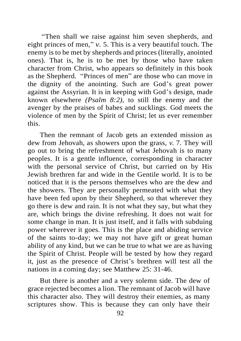"Then shall we raise against him seven shepherds, and eight princes of men," *v.* 5. This is a very beautiful touch. The enemy is to be met by shepherds and princes (literally, anointed ones). That is, he is to be met by those who have taken character from Christ, who appears so definitely in this book as the Shepherd. "Princes of men" are those who can move in the dignity of the anointing. Such are God's great power against the Assyrian. It is in keeping with God's design, made known elsewhere *(Psalm 8:2),* to still the enemy and the avenger by the praises of babes and sucklings. God meets the violence of men by the Spirit of Christ; let us ever remember this.

Then the remnant of Jacob gets an extended mission as dew from Jehovah, as showers upon the grass, *v.* 7. They will go out to bring the refreshment of what Jehovah is to many peoples. It is a gentle influence, corresponding in character with the personal service of Christ, but carried on by His Jewish brethren far and wide in the Gentile world. It is to be noticed that it is the persons themselves who are the dew and the showers. They are personally permeated with what they have been fed upon by their Shepherd, so that wherever they go there is dew and rain. It is not what they say, but what they are, which brings the divine refreshing. It does not wait for some change in man. It is just itself, and it falls with subduing power wherever it goes. This is the place and abiding service of the saints to-day; we may not have gift or great human ability of any kind, but we can be true to what we are as having the Spirit of Christ. People will be tested by how they regard it, just as the presence of Christ's brethren will test all the nations in a coming day; see Matthew 25: 31-46.

But there is another and a very solemn side. The dew of grace rejected becomes a lion. The remnant of Jacob will have this character also. They will destroy their enemies, as many scriptures show. This is because they can only have their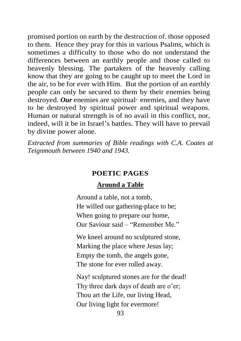promised portion on earth by the destruction of. those opposed to them. Hence they pray for this in various Psalms, which is sometimes a difficulty to those who do not understand the differences between an earthly people and those called to heavenly blessing. The partakers of the heavenly calling know that they are going to be caught up to meet the Lord in the air, to be for ever with Him. But the portion of an earthly people can only be secured to them by their enemies being destroyed. *Our* enemies are spiritual· enemies, and they have to be destroyed by spiritual power and spiritual weapons. Human or natural strength is of no avail in this conflict, nor, indeed, will it be in Israel's battles. They will have to prevail by divine power alone.

*Extracted from summaries of Bible readings with C.A. Coates at Teignmouth between 1940 and 1943.*

## **POETIC PAGES**

## **Around a Table**

Around a table, not a tomb, He willed our gathering-place to be; When going to prepare our home, Our Saviour said – "Remember Me."

We kneel around no sculptured stone, Marking the place where Jesus lay; Empty the tomb, the angels gone, The stone for ever rolled away.

Nay! sculptured stones are for the dead! Thy three dark days of death are o'er; Thou art the Life, our living Head, Our living light for evermore!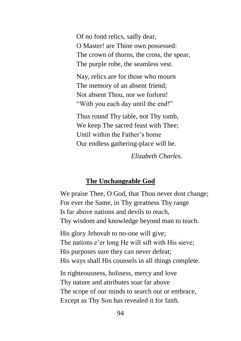Of no fond relics, sadly dear, O Master! are Thine own possessed: The crown of thorns, the cross, the spear, The purple robe, the seamless vest.

Nay, relics are for those who mourn The memory of an absent friend; Not absent Thou, nor we forlorn! "With you each day until the end!"

Thus round Thy table, not Thy tomb, We keep The sacred feast with Thee; Until within the Father's home Our endless gathering-place will be.

*Elizabeth Charles.*

## **The Unchangeable God**

We praise Thee, O God, that Thou never dost change; For ever the Same, in Thy greatness Thy range Is far above nations and devils to reach, Thy wisdom and knowledge beyond man to teach.

His glory Jehovah to no-one will give; The nations e'er long He will sift with His sieve; His purposes sure they can never defeat; His ways shall His counsels in all things complete.

In righteousness, holiness, mercy and love Thy nature and attributes soar far above The scope of our minds to search out or embrace, Except as Thy Son has revealed it for faith.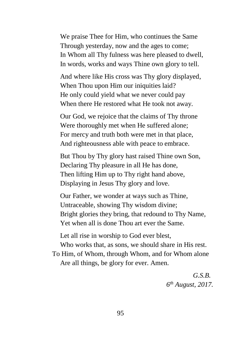We praise Thee for Him, who continues the Same Through yesterday, now and the ages to come; In Whom all Thy fulness was here pleased to dwell, In words, works and ways Thine own glory to tell.

And where like His cross was Thy glory displayed, When Thou upon Him our iniquities laid? He only could yield what we never could pay When there He restored what He took not away.

Our God, we rejoice that the claims of Thy throne Were thoroughly met when He suffered alone; For mercy and truth both were met in that place, And righteousness able with peace to embrace.

But Thou by Thy glory hast raised Thine own Son, Declaring Thy pleasure in all He has done, Then lifting Him up to Thy right hand above, Displaying in Jesus Thy glory and love.

Our Father, we wonder at ways such as Thine, Untraceable, showing Thy wisdom divine; Bright glories they bring, that redound to Thy Name, Yet when all is done Thou art ever the Same.

Let all rise in worship to God ever blest,

Who works that, as sons, we should share in His rest. To Him, of Whom, through Whom, and for Whom alone Are all things, be glory for ever. Amen.

> *G.S.B. 6 th August, 2017.*